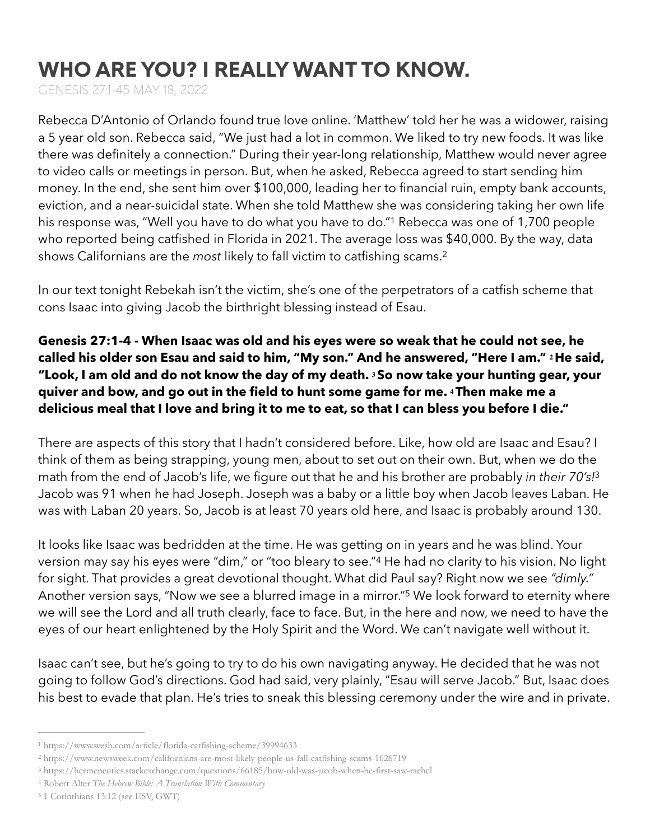# WHO ARE YOU? I REALLY WANT TO KNOW.

GENESIS 27:1-45 MAY 18, 2022

Rebecca D'Antonio of Orlando found true love online. 'Matthew' told her he was a widower, raising a 5 year old son. Rebecca said, "We just had a lot in common. We liked to try new foods. It was like there was definitely a connection." During their year-long relationship, Matthew would never agree to video calls or meetings in person. But, when he asked, Rebecca agreed to start sending him money. In the end, she sent him over \$100,000, leading her to financial ruin, empty bank accounts, eviction, and a near-suicidal state. When she told Matthew she was considering taking her own life his response was, "Well you have to do what you have to do."<sup>[1](#page-0-0)</sup> Rebecca was one of 1,700 people who reported being catfished in Florida in 2021. The average loss was \$40,000. By the way, data shows Californians are the *most* likely to fall victim to catfishing scams.[2](#page-0-1)

<span id="page-0-6"></span><span id="page-0-5"></span>In our text tonight Rebekah isn't the victim, she's one of the perpetrators of a catfish scheme that cons Isaac into giving Jacob the birthright blessing instead of Esau.

**Genesis 27:1-4 - When Isaac was old and his eyes were so weak that he could not see, he called his older son Esau and said to him, "My son." And he answered, "Here I am." 2He said, "Look, I am old and do not know the day of my death. 3So now take your hunting gear, your quiver and bow, and go out in the field to hunt some game for me. 4Then make me a delicious meal that I love and bring it to me to eat, so that I can bless you before I die."**

<span id="page-0-7"></span>There are aspects of this story that I hadn't considered before. Like, how old are Isaac and Esau? I think of them as being strapping, young men, about to set out on their own. But, when we do the math from the end of Jacob's life, we figure out that he and his brother are probably *in their 70's!*[3](#page-0-2) Jacob was 91 when he had Joseph. Joseph was a baby or a little boy when Jacob leaves Laban. He was with Laban 20 years. So, Jacob is at least 70 years old here, and Isaac is probably around 130.

<span id="page-0-9"></span><span id="page-0-8"></span>It looks like Isaac was bedridden at the time. He was getting on in years and he was blind. Your version may say his eyes were "dim,["](#page-0-3) or "too bleary to see."<sup>[4](#page-0-3)</sup> He had no clarity to his vision. No light for sight. That provides a great devotional thought. What did Paul say? Right now we see *"dimly."*  Another version says, "Now we see a blurred image in a mirror."<sup>[5](#page-0-4)</sup> We look forward to eternity where we will see the Lord and all truth clearly, face to face. But, in the here and now, we need to have the eyes of our heart enlightened by the Holy Spirit and the Word. We can't navigate well without it.

Isaac can't see, but he's going to try to do his own navigating anyway. He decided that he was not going to follow God's directions. God had said, very plainly, "Esau will serve Jacob." But, Isaac does his best to evade that plan. He's tries to sneak this blessing ceremony under the wire and in private.

<span id="page-0-0"></span>[<sup>1</sup>](#page-0-5) https://www.wesh.com/article/florida-catfishing-scheme/39994633

<span id="page-0-1"></span>[<sup>2</sup>](#page-0-6) https://www.newsweek.com/californians-are-most-likely-people-us-fall-catfishing-scams-1626719

<span id="page-0-2"></span>https://hermeneutics.stackexchange.com/questions/66185/how-old-was-jacob-when-he-first-saw-rachel [3](#page-0-7)

<span id="page-0-3"></span>Robert Alter *The Hebrew Bible: A Translation With Commentary* [4](#page-0-8)

<span id="page-0-4"></span><sup>&</sup>lt;sup>[5](#page-0-9)</sup> 1 Corinthians 13:12 (see ESV, GWT)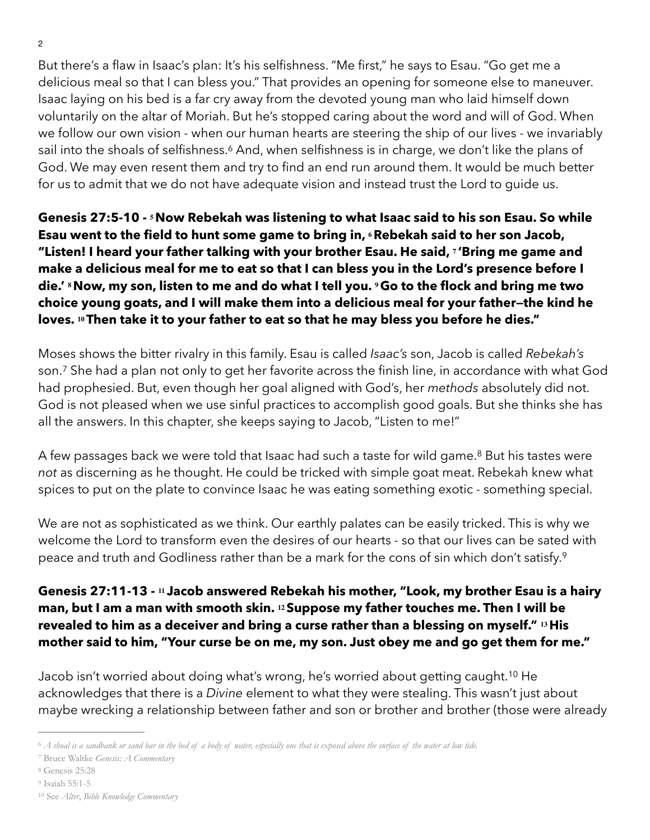$\mathfrak{p}$ 

But there's a flaw in Isaac's plan: It's his selfishness. "Me first," he says to Esau. "Go get me a delicious meal so that I can bless you." That provides an opening for someone else to maneuver. Isaac laying on his bed is a far cry away from the devoted young man who laid himself down voluntarily on the altar of Moriah. But he's stopped caring about the word and will of God. When we follow our own vision - when our human hearts are steering the ship of our lives - we invariably sail into the shoals of selfishness.<sup>[6](#page-1-0)</sup> And, when selfishness is in charge, we don't like the plans of God. We may even resent them and try to find an end run around them. It would be much better for us to admit that we do not have adequate vision and instead trust the Lord to guide us.

<span id="page-1-5"></span>**Genesis 27:5-10 - 5Now Rebekah was listening to what Isaac said to his son Esau. So while Esau went to the field to hunt some game to bring in, 6Rebekah said to her son Jacob, "Listen! I heard your father talking with your brother Esau. He said, <sup>7</sup> 'Bring me game and make a delicious meal for me to eat so that I can bless you in the Lord's presence before I die.' 8Now, my son, listen to me and do what I tell you. 9Go to the flock and bring me two choice young goats, and I will make them into a delicious meal for your father—the kind he loves. 10Then take it to your father to eat so that he may bless you before he dies."** 

<span id="page-1-6"></span>Moses shows the bitter rivalry in this family. Esau is called *Isaac's* son, Jacob is called *Rebekah's* son.<sup>[7](#page-1-1)</sup> She had a plan not only to get her favorite across the finish line, in accordance with what God had prophesied. But, even though her goal aligned with God's, her *methods* absolutely did not. God is not pleased when we use sinful practices to accomplish good goals. But she thinks she has all the answers. In this chapter, she keeps saying to Jacob, "Listen to me!"

<span id="page-1-7"></span>A few passages back we were told that Isaac had such a taste for wild game[.](#page-1-2)<sup>[8](#page-1-2)</sup> But his tastes were *not* as discerning as he thought. He could be tricked with simple goat meat. Rebekah knew what spices to put on the plate to convince Isaac he was eating something exotic - something special.

<span id="page-1-8"></span>We are not as sophisticated as we think. Our earthly palates can be easily tricked. This is why we welcome the Lord to transform even the desires of our hearts - so that our lives can be sated with peace and truth and Godliness rather than be a mark for the cons of sin which don't satisfy.[9](#page-1-3)

#### **Genesis 27:11-13 - <sup>11</sup> Jacob answered Rebekah his mother, "Look, my brother Esau is a hairy man, but I am a man with smooth skin. 12Suppose my father touches me. Then I will be revealed to him as a deceiver and bring a curse rather than a blessing on myself." 13His mother said to him, "Your curse be on me, my son. Just obey me and go get them for me."**

<span id="page-1-9"></span>Jacob isn't worried about doing what's wrong, he's worried about getting caught.<sup>[10](#page-1-4)</sup> He acknowledges that there is a *Divine* element to what they were stealing. This wasn't just about maybe wrecking a relationship between father and son or brother and brother (those were already

- <span id="page-1-2"></span>[8](#page-1-7) Genesis 25:28
- <span id="page-1-3"></span>[9](#page-1-8) Isaiah 55:1-5

<span id="page-1-0"></span>*A shoal is a sandbank or sand bar in the bed of a body of water, especially one that is exposed above the surface of the water at low tide.* [6](#page-1-5)

<span id="page-1-1"></span>Bruce Waltke *Genesis: A Commentary* [7](#page-1-6)

<span id="page-1-4"></span>See *Alter*, *Bible Knowledge Commentary* [10](#page-1-9)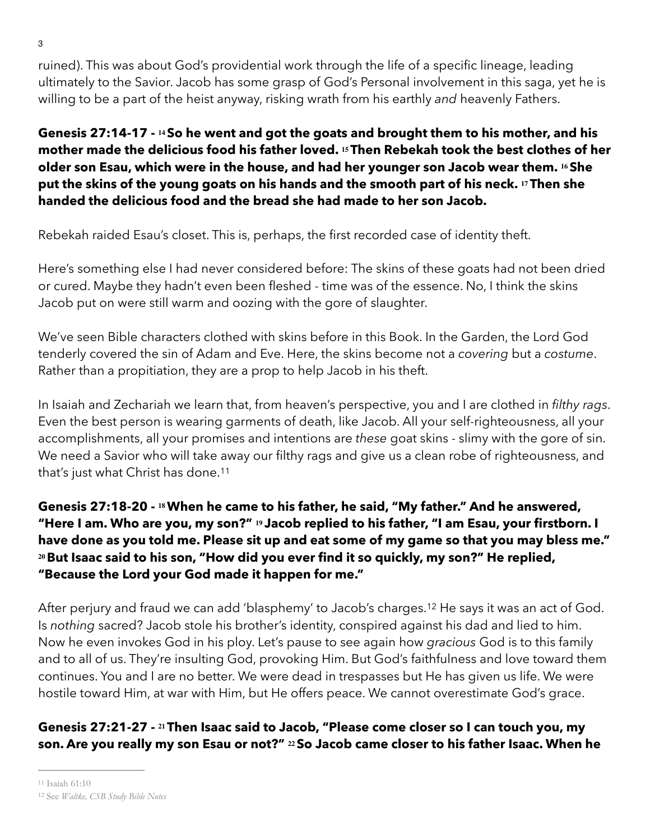ruined). This was about God's providential work through the life of a specific lineage, leading ultimately to the Savior. Jacob has some grasp of God's Personal involvement in this saga, yet he is willing to be a part of the heist anyway, risking wrath from his earthly *and* heavenly Fathers.

**Genesis 27:14-17 - 14So he went and got the goats and brought them to his mother, and his mother made the delicious food his father loved. 15Then Rebekah took the best clothes of her older son Esau, which were in the house, and had her younger son Jacob wear them. 16She put the skins of the young goats on his hands and the smooth part of his neck. 17Then she handed the delicious food and the bread she had made to her son Jacob.** 

Rebekah raided Esau's closet. This is, perhaps, the first recorded case of identity theft.

Here's something else I had never considered before: The skins of these goats had not been dried or cured. Maybe they hadn't even been fleshed - time was of the essence. No, I think the skins Jacob put on were still warm and oozing with the gore of slaughter.

We've seen Bible characters clothed with skins before in this Book. In the Garden, the Lord God tenderly covered the sin of Adam and Eve. Here, the skins become not a *covering* but a *costume*. Rather than a propitiation, they are a prop to help Jacob in his theft.

In Isaiah and Zechariah we learn that, from heaven's perspective, you and I are clothed in *filthy rags*. Even the best person is wearing garments of death, like Jacob. All your self-righteousness, all your accomplishments, all your promises and intentions are *these* goat skins - slimy with the gore of sin. We need a Savior who will take away our filthy rags and give us a clean robe of righteousness, and that's just what Christ has done.<sup>[11](#page-2-0)</sup>

<span id="page-2-2"></span>**Genesis 27:18-20 - 18When he came to his father, he said, "My father." And he answered, "Here I am. Who are you, my son?" <sup>19</sup> Jacob replied to his father, "I am Esau, your firstborn. I have done as you told me. Please sit up and eat some of my game so that you may bless me." <sup>20</sup>But Isaac said to his son, "How did you ever find it so quickly, my son?" He replied, "Because the Lord your God made it happen for me."** 

<span id="page-2-3"></span>After perjury and fraud we can add 'blasphemy' to Jacob's charges[.](#page-2-1)<sup>[12](#page-2-1)</sup> He says it was an act of God. Is *nothing* sacred? Jacob stole his brother's identity, conspired against his dad and lied to him. Now he even invokes God in his ploy. Let's pause to see again how *gracious* God is to this family and to all of us. They're insulting God, provoking Him. But God's faithfulness and love toward them continues. You and I are no better. We were dead in trespasses but He has given us life. We were hostile toward Him, at war with Him, but He offers peace. We cannot overestimate God's grace.

## **Genesis 27:21-27 - 21Then Isaac said to Jacob, "Please come closer so I can touch you, my son. Are you really my son Esau or not?" 22So Jacob came closer to his father Isaac. When he**

<span id="page-2-0"></span>[<sup>11</sup>](#page-2-2) Isaiah 61:10

<span id="page-2-1"></span><sup>&</sup>lt;sup>[12](#page-2-3)</sup> See *Waltke*, CSB Study Bible Notes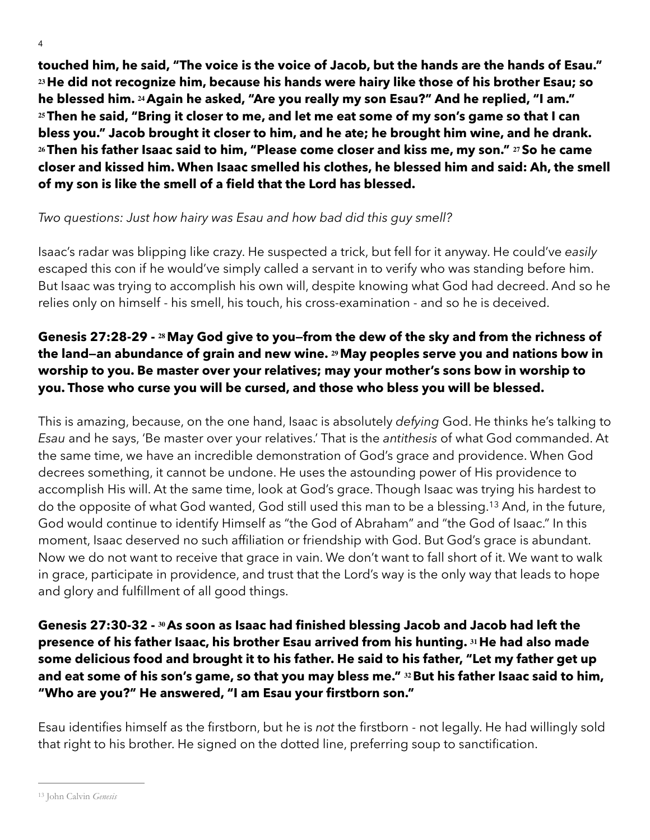4

**touched him, he said, "The voice is the voice of Jacob, but the hands are the hands of Esau." <sup>23</sup>He did not recognize him, because his hands were hairy like those of his brother Esau; so he blessed him. 24Again he asked, "Are you really my son Esau?" And he replied, "I am." <sup>25</sup>Then he said, "Bring it closer to me, and let me eat some of my son's game so that I can bless you." Jacob brought it closer to him, and he ate; he brought him wine, and he drank. <sup>26</sup>Then his father Isaac said to him, "Please come closer and kiss me, my son." 27So he came closer and kissed him. When Isaac smelled his clothes, he blessed him and said: Ah, the smell of my son is like the smell of a field that the Lord has blessed.** 

### *Two questions: Just how hairy was Esau and how bad did this guy smell?*

Isaac's radar was blipping like crazy. He suspected a trick, but fell for it anyway. He could've *easily* escaped this con if he would've simply called a servant in to verify who was standing before him. But Isaac was trying to accomplish his own will, despite knowing what God had decreed. And so he relies only on himself - his smell, his touch, his cross-examination - and so he is deceived.

### **Genesis 27:28-29 - 28May God give to you—from the dew of the sky and from the richness of the land—an abundance of grain and new wine. 29May peoples serve you and nations bow in worship to you. Be master over your relatives; may your mother's sons bow in worship to you. Those who curse you will be cursed, and those who bless you will be blessed.**

<span id="page-3-1"></span>This is amazing, because, on the one hand, Isaac is absolutely *defying* God. He thinks he's talking to *Esau* and he says, 'Be master over your relatives.' That is the *antithesis* of what God commanded. At the same time, we have an incredible demonstration of God's grace and providence. When God decrees something, it cannot be undone. He uses the astounding power of His providence to accomplish His will. At the same time, look at God's grace. Though Isaac was trying his hardest to do the opposite of what God wanted, God still used this man to be a blessing.<sup>[13](#page-3-0)</sup> And, in the future, God would continue to identify Himself as "the God of Abraham" and "the God of Isaac." In this moment, Isaac deserved no such affiliation or friendship with God. But God's grace is abundant. Now we do not want to receive that grace in vain. We don't want to fall short of it. We want to walk in grace, participate in providence, and trust that the Lord's way is the only way that leads to hope and glory and fulfillment of all good things.

### **Genesis 27:30-32 - 30As soon as Isaac had finished blessing Jacob and Jacob had left the presence of his father Isaac, his brother Esau arrived from his hunting. 31He had also made some delicious food and brought it to his father. He said to his father, "Let my father get up and eat some of his son's game, so that you may bless me." 32But his father Isaac said to him, "Who are you?" He answered, "I am Esau your firstborn son."**

Esau identifies himself as the firstborn, but he is *not* the firstborn - not legally. He had willingly sold that right to his brother. He signed on the dotted line, preferring soup to sanctification.

<span id="page-3-0"></span><sup>&</sup>lt;sup>[13](#page-3-1)</sup> John Calvin *Genesis*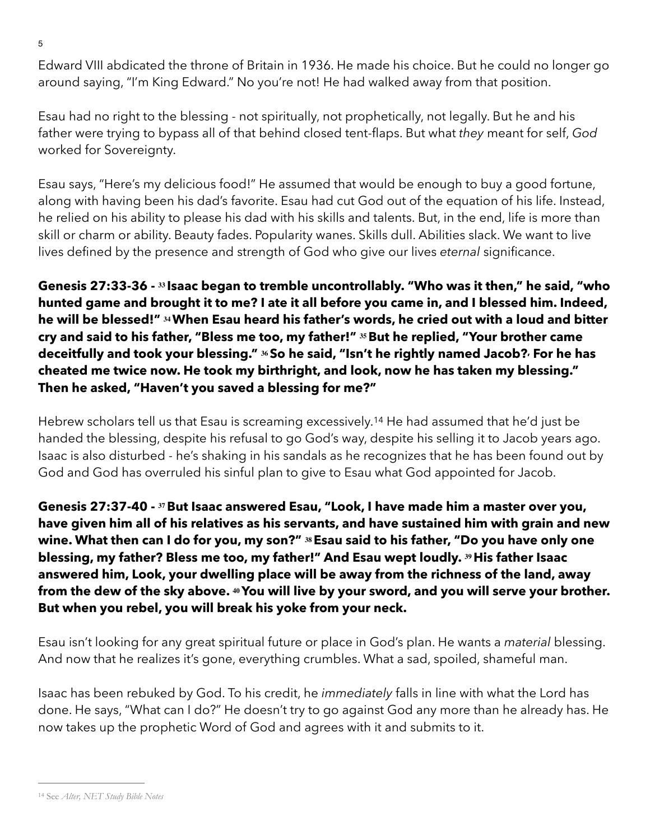Edward VIII abdicated the throne of Britain in 1936. He made his choice. But he could no longer go around saying, "I'm King Edward." No you're not! He had walked away from that position.

Esau had no right to the blessing - not spiritually, not prophetically, not legally. But he and his father were trying to bypass all of that behind closed tent-flaps. But what *they* meant for self, *God* worked for Sovereignty.

Esau says, "Here's my delicious food!" He assumed that would be enough to buy a good fortune, along with having been his dad's favorite. Esau had cut God out of the equation of his life. Instead, he relied on his ability to please his dad with his skills and talents. But, in the end, life is more than skill or charm or ability. Beauty fades. Popularity wanes. Skills dull. Abilities slack. We want to live lives defined by the presence and strength of God who give our lives *eternal* significance.

**Genesis 27:33-36 - <sup>33</sup> Isaac began to tremble uncontrollably. "Who was it then," he said, "who hunted game and brought it to me? I ate it all before you came in, and I blessed him. Indeed, he will be blessed!" 34When Esau heard his father's words, he cried out with a loud and bitter cry and said to his father, "Bless me too, my father!" 35But he replied, "Your brother came deceitfully and took your blessing." 36So he said, "Isn't he rightly named Jacob?, For he has cheated me twice now. He took my birthright, and look, now he has taken my blessing." Then he asked, "Haven't you saved a blessing for me?"** 

<span id="page-4-1"></span>Hebrew scholars tell us that Esau is screaming excessively.<sup>[14](#page-4-0)</sup> He had assumed that he'd just be handed the blessing, despite his refusal to go God's way, despite his selling it to Jacob years ago. Isaac is also disturbed - he's shaking in his sandals as he recognizes that he has been found out by God and God has overruled his sinful plan to give to Esau what God appointed for Jacob.

**Genesis 27:37-40 - 37But Isaac answered Esau, "Look, I have made him a master over you, have given him all of his relatives as his servants, and have sustained him with grain and new wine. What then can I do for you, my son?" 38Esau said to his father, "Do you have only one blessing, my father? Bless me too, my father!" And Esau wept loudly. 39His father Isaac answered him, Look, your dwelling place will be away from the richness of the land, away from the dew of the sky above. 40You will live by your sword, and you will serve your brother. But when you rebel, you will break his yoke from your neck.** 

Esau isn't looking for any great spiritual future or place in God's plan. He wants a *material* blessing. And now that he realizes it's gone, everything crumbles. What a sad, spoiled, shameful man.

Isaac has been rebuked by God. To his credit, he *immediately* falls in line with what the Lord has done. He says, "What can I do?" He doesn't try to go against God any more than he already has. He now takes up the prophetic Word of God and agrees with it and submits to it.

<sup>5</sup>

<span id="page-4-0"></span><sup>&</sup>lt;sup>[14](#page-4-1)</sup> See *Alter*, NET Study Bible Notes